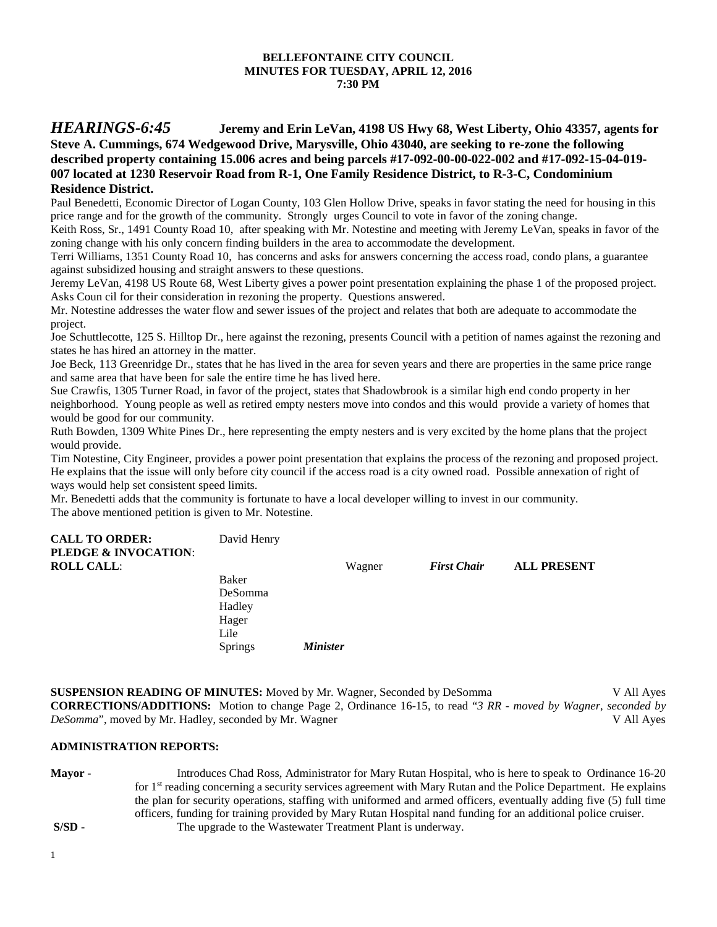#### **BELLEFONTAINE CITY COUNCIL MINUTES FOR TUESDAY, APRIL 12, 2016 7:30 PM**

# *HEARINGS-6:45* **Jeremy and Erin LeVan, 4198 US Hwy 68, West Liberty, Ohio 43357, agents for Steve A. Cummings, 674 Wedgewood Drive, Marysville, Ohio 43040, are seeking to re-zone the following described property containing 15.006 acres and being parcels #17-092-00-00-022-002 and #17-092-15-04-019- 007 located at 1230 Reservoir Road from R-1, One Family Residence District, to R-3-C, Condominium Residence District.**

Paul Benedetti, Economic Director of Logan County, 103 Glen Hollow Drive, speaks in favor stating the need for housing in this price range and for the growth of the community. Strongly urges Council to vote in favor of the zoning change.

Keith Ross, Sr., 1491 County Road 10, after speaking with Mr. Notestine and meeting with Jeremy LeVan, speaks in favor of the zoning change with his only concern finding builders in the area to accommodate the development.

Terri Williams, 1351 County Road 10, has concerns and asks for answers concerning the access road, condo plans, a guarantee against subsidized housing and straight answers to these questions.

Jeremy LeVan, 4198 US Route 68, West Liberty gives a power point presentation explaining the phase 1 of the proposed project. Asks Coun cil for their consideration in rezoning the property. Questions answered.

Mr. Notestine addresses the water flow and sewer issues of the project and relates that both are adequate to accommodate the project.

Joe Schuttlecotte, 125 S. Hilltop Dr., here against the rezoning, presents Council with a petition of names against the rezoning and states he has hired an attorney in the matter.

Joe Beck, 113 Greenridge Dr., states that he has lived in the area for seven years and there are properties in the same price range and same area that have been for sale the entire time he has lived here.

Sue Crawfis, 1305 Turner Road, in favor of the project, states that Shadowbrook is a similar high end condo property in her neighborhood. Young people as well as retired empty nesters move into condos and this would provide a variety of homes that would be good for our community.

Ruth Bowden, 1309 White Pines Dr., here representing the empty nesters and is very excited by the home plans that the project would provide.

Tim Notestine, City Engineer, provides a power point presentation that explains the process of the rezoning and proposed project. He explains that the issue will only before city council if the access road is a city owned road. Possible annexation of right of ways would help set consistent speed limits.

Mr. Benedetti adds that the community is fortunate to have a local developer willing to invest in our community. The above mentioned petition is given to Mr. Notestine.

| <b>CALL TO ORDER:</b><br>PLEDGE & INVOCATION: | David Henry |                 |                    |                    |
|-----------------------------------------------|-------------|-----------------|--------------------|--------------------|
| <b>ROLL CALL:</b>                             |             | Wagner          | <b>First Chair</b> | <b>ALL PRESENT</b> |
|                                               | Baker       |                 |                    |                    |
|                                               | DeSomma     |                 |                    |                    |
|                                               | Hadley      |                 |                    |                    |
|                                               | Hager       |                 |                    |                    |
|                                               | Lile        |                 |                    |                    |
|                                               | Springs     | <b>Minister</b> |                    |                    |

**SUSPENSION READING OF MINUTES:** Moved by Mr. Wagner, Seconded by DeSomma V All Ayes **CORRECTIONS/ADDITIONS:** Motion to change Page 2, Ordinance 16-15, to read "*3 RR* - *moved by Wagner, seconded by DeSomma*", moved by Mr. Hadley, seconded by Mr. Wagner V All Ayes

## **ADMINISTRATION REPORTS:**

**Mayor -** Introduces Chad Ross, Administrator for Mary Rutan Hospital, who is here to speak to Ordinance 16-20 for 1<sup>st</sup> reading concerning a security services agreement with Mary Rutan and the Police Department. He explains the plan for security operations, staffing with uniformed and armed officers, eventually adding five (5) full time officers, funding for training provided by Mary Rutan Hospital nand funding for an additional police cruiser. **S/SD -** The upgrade to the Wastewater Treatment Plant is underway.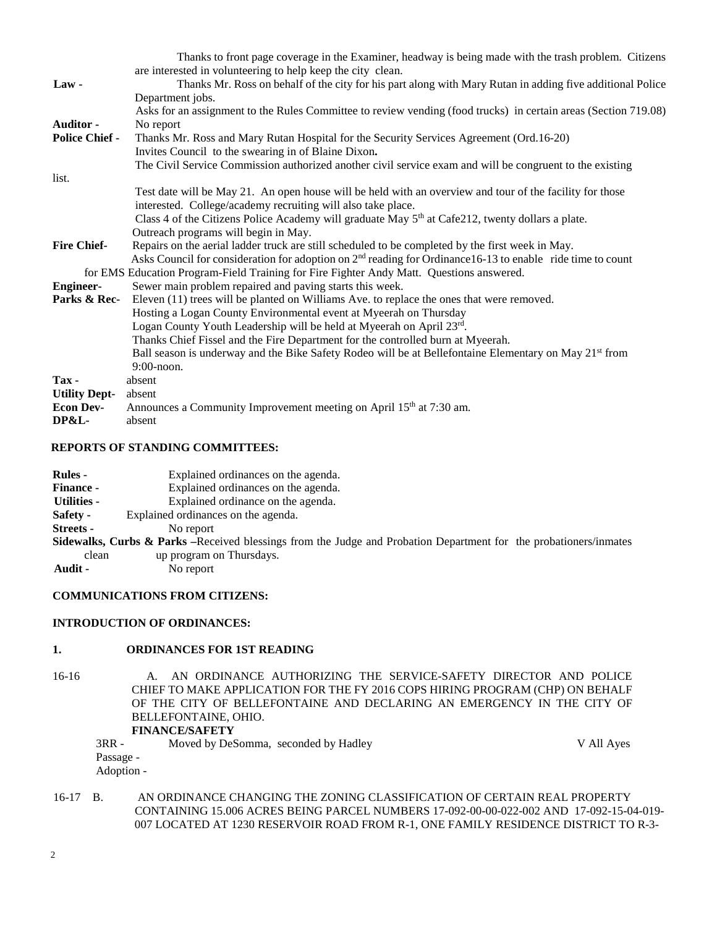|                       | Thanks to front page coverage in the Examiner, headway is being made with the trash problem. Citizens                  |
|-----------------------|------------------------------------------------------------------------------------------------------------------------|
|                       | are interested in volunteering to help keep the city clean.                                                            |
| $Law -$               | Thanks Mr. Ross on behalf of the city for his part along with Mary Rutan in adding five additional Police              |
|                       | Department jobs.                                                                                                       |
|                       | Asks for an assignment to the Rules Committee to review vending (food trucks) in certain areas (Section 719.08)        |
| Auditor -             | No report                                                                                                              |
| <b>Police Chief -</b> | Thanks Mr. Ross and Mary Rutan Hospital for the Security Services Agreement (Ord.16-20)                                |
|                       | Invites Council to the swearing in of Blaine Dixon.                                                                    |
|                       | The Civil Service Commission authorized another civil service exam and will be congruent to the existing               |
| list.                 |                                                                                                                        |
|                       | Test date will be May 21. An open house will be held with an overview and tour of the facility for those               |
|                       | interested. College/academy recruiting will also take place.                                                           |
|                       | Class 4 of the Citizens Police Academy will graduate May $5th$ at Cafe212, twenty dollars a plate.                     |
|                       | Outreach programs will begin in May.                                                                                   |
| <b>Fire Chief-</b>    | Repairs on the aerial ladder truck are still scheduled to be completed by the first week in May.                       |
|                       | Asks Council for consideration for adoption on 2 <sup>nd</sup> reading for Ordinance16-13 to enable ride time to count |
|                       | for EMS Education Program-Field Training for Fire Fighter Andy Matt. Questions answered.                               |
| <b>Engineer-</b>      | Sewer main problem repaired and paving starts this week.                                                               |
| Parks & Rec-          | Eleven (11) trees will be planted on Williams Ave. to replace the ones that were removed.                              |
|                       | Hosting a Logan County Environmental event at Myeerah on Thursday                                                      |
|                       | Logan County Youth Leadership will be held at Myeerah on April 23rd.                                                   |
|                       | Thanks Chief Fissel and the Fire Department for the controlled burn at Myeerah.                                        |
|                       | Ball season is underway and the Bike Safety Rodeo will be at Bellefontaine Elementary on May 21 <sup>st</sup> from     |
|                       | 9:00-noon.                                                                                                             |
| Tax-                  | absent                                                                                                                 |
| <b>Utility Dept-</b>  | absent                                                                                                                 |
| <b>Econ Dev-</b>      | Announces a Community Improvement meeting on April 15 <sup>th</sup> at 7:30 am.                                        |
| DP&L-                 | absent                                                                                                                 |

### **REPORTS OF STANDING COMMITTEES:**

| <b>Rules</b> -     | Explained ordinances on the agenda.                                                                                          |
|--------------------|------------------------------------------------------------------------------------------------------------------------------|
| <b>Finance -</b>   | Explained ordinances on the agenda.                                                                                          |
| <b>Utilities -</b> | Explained ordinance on the agenda.                                                                                           |
| Safety -           | Explained ordinances on the agenda.                                                                                          |
| Streets -          | No report                                                                                                                    |
|                    | <b>Sidewalks, Curbs &amp; Parks</b> –Received blessings from the Judge and Probation Department for the probationers/inmates |
|                    | clean<br>up program on Thursdays.                                                                                            |
| Audit -            | No report                                                                                                                    |

# **COMMUNICATIONS FROM CITIZENS:**

#### **INTRODUCTION OF ORDINANCES:**

# **1. ORDINANCES FOR 1ST READING**

16-16 A. AN ORDINANCE AUTHORIZING THE SERVICE-SAFETY DIRECTOR AND POLICE CHIEF TO MAKE APPLICATION FOR THE FY 2016 COPS HIRING PROGRAM (CHP) ON BEHALF OF THE CITY OF BELLEFONTAINE AND DECLARING AN EMERGENCY IN THE CITY OF BELLEFONTAINE, OHIO.

**FINANCE/SAFETY** 3RR - Moved by DeSomma, seconded by Hadley V All Ayes Passage - Adoption -

## 16-17 B. AN ORDINANCE CHANGING THE ZONING CLASSIFICATION OF CERTAIN REAL PROPERTY CONTAINING 15.006 ACRES BEING PARCEL NUMBERS 17-092-00-00-022-002 AND 17-092-15-04-019- 007 LOCATED AT 1230 RESERVOIR ROAD FROM R-1, ONE FAMILY RESIDENCE DISTRICT TO R-3-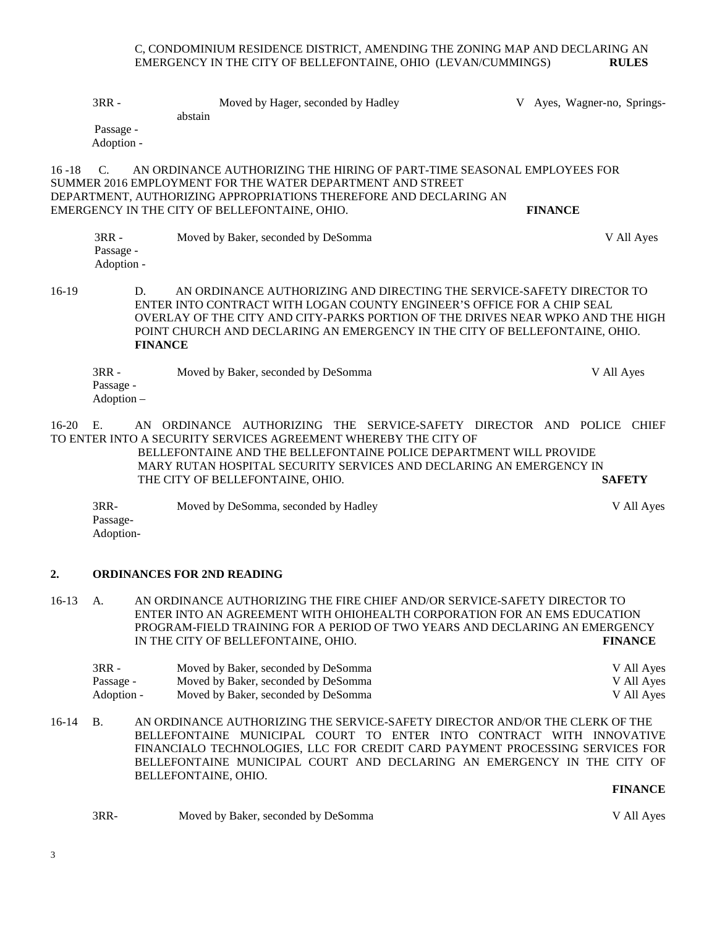#### C, CONDOMINIUM RESIDENCE DISTRICT, AMENDING THE ZONING MAP AND DECLARING AN EMERGENCY IN THE CITY OF BELLEFONTAINE, OHIO (LEVAN/CUMMINGS) **RULES**

3RR - Moved by Hager, seconded by Hadley V Ayes, Wagner-no, Springsabstain Passage - Adoption - 16 -18 C. AN ORDINANCE AUTHORIZING THE HIRING OF PART-TIME SEASONAL EMPLOYEES FOR SUMMER 2016 EMPLOYMENT FOR THE WATER DEPARTMENT AND STREET DEPARTMENT, AUTHORIZING APPROPRIATIONS THEREFORE AND DECLARING AN EMERGENCY IN THE CITY OF BELLEFONTAINE, OHIO. **FINANCE** 3RR - Moved by Baker, seconded by DeSomma V All Ayes Passage - Adoption - 16-19 D. AN ORDINANCE AUTHORIZING AND DIRECTING THE SERVICE-SAFETY DIRECTOR TO ENTER INTO CONTRACT WITH LOGAN COUNTY ENGINEER'S OFFICE FOR A CHIP SEAL OVERLAY OF THE CITY AND CITY-PARKS PORTION OF THE DRIVES NEAR WPKO AND THE HIGH POINT CHURCH AND DECLARING AN EMERGENCY IN THE CITY OF BELLEFONTAINE, OHIO. **FINANCE** 3RR - Moved by Baker, seconded by DeSomma V All Ayes Passage - Adoption – 16-20 E. AN ORDINANCE AUTHORIZING THE SERVICE-SAFETY DIRECTOR AND POLICE CHIEF TO ENTER INTO A SECURITY SERVICES AGREEMENT WHEREBY THE CITY OF BELLEFONTAINE AND THE BELLEFONTAINE POLICE DEPARTMENT WILL PROVIDE MARY RUTAN HOSPITAL SECURITY SERVICES AND DECLARING AN EMERGENCY IN

3RR- Moved by DeSomma, seconded by Hadley V All Ayes Passage-Adoption-

THE CITY OF BELLEFONTAINE, OHIO. **SAFETY**

## **2. ORDINANCES FOR 2ND READING**

16-13 A. AN ORDINANCE AUTHORIZING THE FIRE CHIEF AND/OR SERVICE-SAFETY DIRECTOR TO ENTER INTO AN AGREEMENT WITH OHIOHEALTH CORPORATION FOR AN EMS EDUCATION PROGRAM-FIELD TRAINING FOR A PERIOD OF TWO YEARS AND DECLARING AN EMERGENCY IN THE CITY OF BELLEFONTAINE, OHIO. **FINANCE**

| $3RR -$    | Moved by Baker, seconded by DeSomma | V All Ayes |
|------------|-------------------------------------|------------|
| Passage -  | Moved by Baker, seconded by DeSomma | V All Ayes |
| Adoption - | Moved by Baker, seconded by DeSomma | V All Ayes |

16-14 B. AN ORDINANCE AUTHORIZING THE SERVICE-SAFETY DIRECTOR AND/OR THE CLERK OF THE BELLEFONTAINE MUNICIPAL COURT TO ENTER INTO CONTRACT WITH INNOVATIVE FINANCIALO TECHNOLOGIES, LLC FOR CREDIT CARD PAYMENT PROCESSING SERVICES FOR BELLEFONTAINE MUNICIPAL COURT AND DECLARING AN EMERGENCY IN THE CITY OF BELLEFONTAINE, OHIO.

#### **FINANCE**

3RR- Moved by Baker, seconded by DeSomma V All Ayes